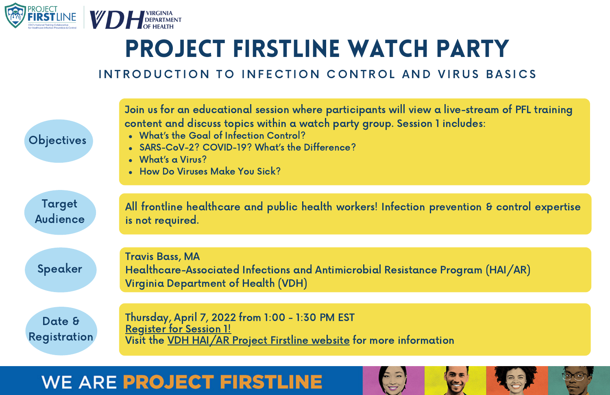

#### INTRODUCTION TO INFECTION CONTROL AND VIRUS BASICS

| <b>Objectives</b>         | Join us for an educational session where participants will view a live-stream of PFL training<br>content and discuss topics within a watch party group. Session 1 includes:<br>• What's the Goal of Infection Control?<br>• SARS-CoV-2? COVID-19? What's the Difference?<br>• What's a Virus?<br>• How Do Viruses Make You Sick? |
|---------------------------|----------------------------------------------------------------------------------------------------------------------------------------------------------------------------------------------------------------------------------------------------------------------------------------------------------------------------------|
| Target<br><b>Audience</b> | All frontline healthcare and public health workers! Infection prevention & control expertise<br>is not required.                                                                                                                                                                                                                 |
| Speaker                   | <b>Travis Bass, MA</b><br>Healthcare-Associated Infections and Antimicrobial Resistance Program (HAI/AR)<br>Virginia Department of Health (VDH)                                                                                                                                                                                  |
| Date &<br>Registration    | Thursday, April 7, 2022 from 1:00 - 1:30 PM EST<br><b>Register for Session 1!</b><br>Visit the VDH HAI/AR Project Firstline website for more information                                                                                                                                                                         |

 $\begin{pmatrix} 1 & 1 \\ 1 & 1 \end{pmatrix}$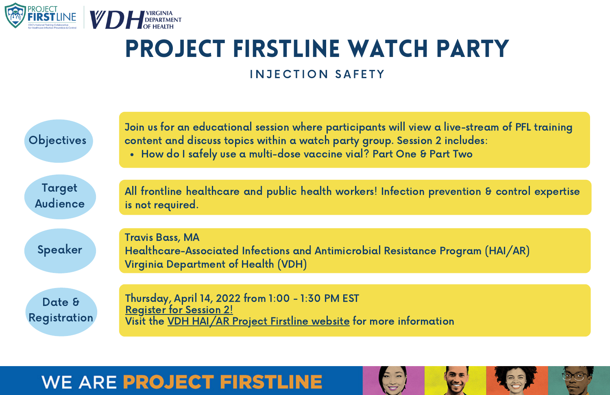

#### INJECTION SAFFTY

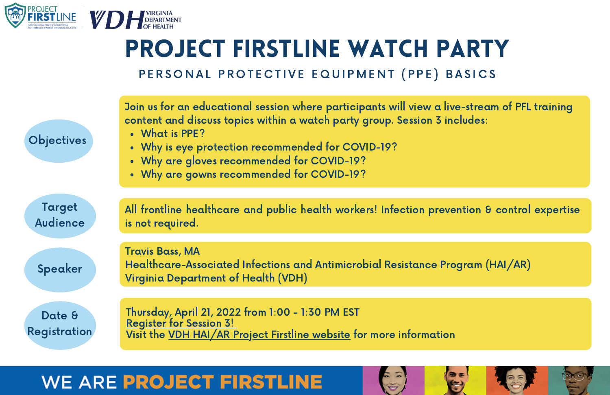

PERSONAL PROTECTIVE EQUIPMENT (PPE) BASICS

| <b>Objectives</b>         | Join us for an educational session where participants will view a live-stream of PFL training<br>content and discuss topics within a watch party group. Session 3 includes:<br>• What is PPE?<br>• Why is eye protection recommended for COVID-19?<br>• Why are gloves recommended for COVID-19?<br>• Why are gowns recommended for COVID-19? |
|---------------------------|-----------------------------------------------------------------------------------------------------------------------------------------------------------------------------------------------------------------------------------------------------------------------------------------------------------------------------------------------|
| Target<br><b>Audience</b> | All frontline healthcare and public health workers! Infection prevention & control expertise<br>is not required.                                                                                                                                                                                                                              |
| Speaker                   | <b>Travis Bass, MA</b><br>Healthcare-Associated Infections and Antimicrobial Resistance Program (HAI/AR)<br>Virginia Department of Health (VDH)                                                                                                                                                                                               |
| Date &<br>Registration    | Thursday, April 21, 2022 from 1:00 - 1:30 PM EST<br><b>Register for Session 3!</b><br>Visit the VDH HAI/AR Project Firstline website for more information                                                                                                                                                                                     |

 $\mathbb{C}^{3}$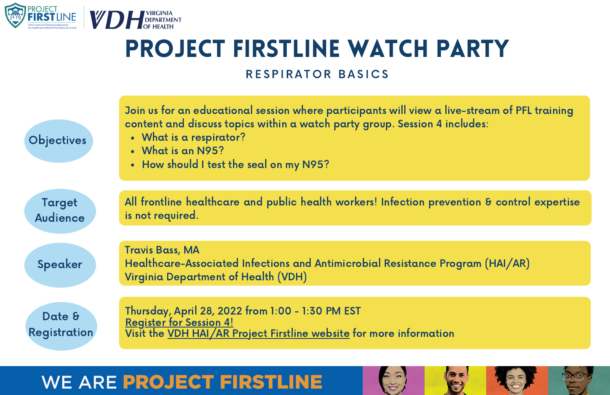

#### RESPIRATOR BASICS

| <b>Objectives</b>         | Join us for an educational session where participants will view a live-stream of PFL training<br>content and discuss topics within a watch party group. Session 4 includes:<br>• What is a respirator?<br>• What is an N95?<br>• How should I test the seal on my N95? |
|---------------------------|------------------------------------------------------------------------------------------------------------------------------------------------------------------------------------------------------------------------------------------------------------------------|
| Target<br><b>Audience</b> | All frontline healthcare and public health workers! Infection prevention & control expertise<br>is not required.                                                                                                                                                       |
| Speaker                   | <b>Travis Bass, MA</b><br>Healthcare-Associated Infections and Antimicrobial Resistance Program (HAI/AR)<br>Virginia Department of Health (VDH)                                                                                                                        |
| Date &<br>Registration    | Thursday, April 28, 2022 from 1:00 - 1:30 PM EST<br><b>Register for Session 4!</b><br>Visit the VDH HAI/AR Project Firstline website for more information                                                                                                              |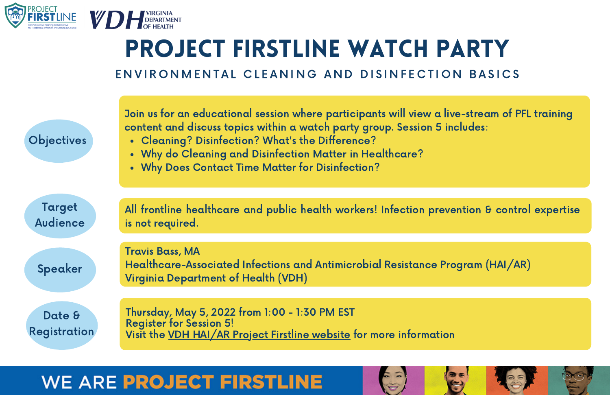

#### ENVIRONMENTAL CLEANING AND DISINFECTION BASICS

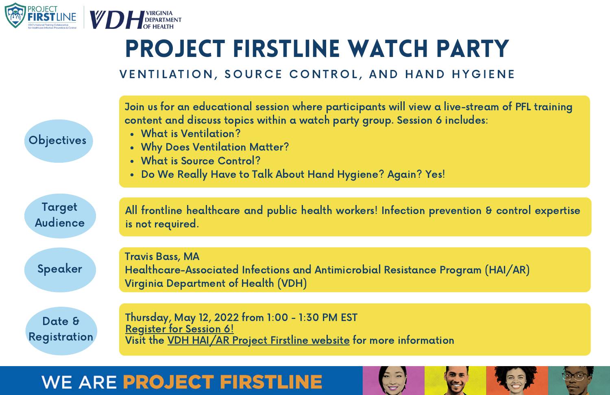

#### VENTILATION, SOURCE CONTROL, AND HAND HYGIENE

| <b>Objectives</b>         | Join us for an educational session where participants will view a live-stream of PFL training<br>content and discuss topics within a watch party group. Session 6 includes:<br>• What is Ventilation?<br>• Why Does Ventilation Matter?<br>• What is Source Control?<br>• Do We Really Have to Talk About Hand Hygiene? Again? Yes! |
|---------------------------|-------------------------------------------------------------------------------------------------------------------------------------------------------------------------------------------------------------------------------------------------------------------------------------------------------------------------------------|
| Target<br><b>Audience</b> | All frontline healthcare and public health workers! Infection prevention & control expertise<br>is not required.                                                                                                                                                                                                                    |
| Speaker                   | <b>Travis Bass, MA</b><br>Healthcare-Associated Infections and Antimicrobial Resistance Program (HAI/AR)<br>Virginia Department of Health (VDH)                                                                                                                                                                                     |
| Date &<br>Registration    | Thursday, May 12, 2022 from 1:00 - 1:30 PM EST<br><b>Register for Session 6!</b><br>Visit the VDH HAI/AR Project Firstline website for more information                                                                                                                                                                             |

 $\begin{pmatrix} 1 & 1 \\ 1 & 1 \end{pmatrix}$